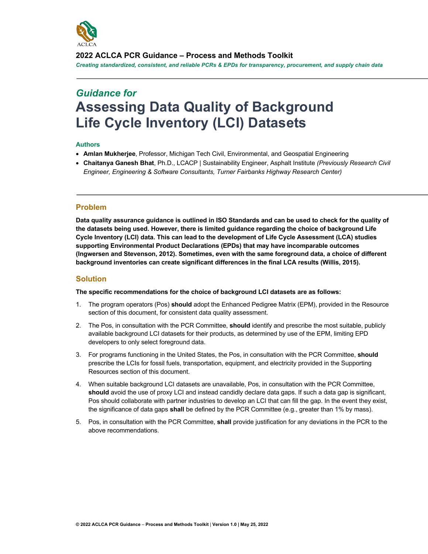

**2022 ACLCA PCR Guidance – Process and Methods Toolkit**

*Creating standardized, consistent, and reliable PCRs & EPDs for transparency, procurement, and supply chain data*

# *Guidance for* **Assessing Data Quality of Background Life Cycle Inventory (LCI) Datasets**

## **Authors**

- **Amlan Mukherjee**, Professor, Michigan Tech Civil, Environmental, and Geospatial Engineering
- **Chaitanya Ganesh Bhat**, Ph.D., LCACP | Sustainability Engineer, Asphalt Institute *(Previously Research Civil Engineer, Engineering & Software Consultants, Turner Fairbanks Highway Research Center)*

# **Problem**

**Data quality assurance guidance is outlined in ISO Standards and can be used to check for the quality of the datasets being used. However, there is limited guidance regarding the choice of background Life Cycle Inventory (LCI) data. This can lead to the development of Life Cycle Assessment (LCA) studies supporting Environmental Product Declarations (EPDs) that may have incomparable outcomes (Ingwersen and Stevenson, 2012). Sometimes, even with the same foreground data, a choice of different background inventories can create significant differences in the final LCA results (Willis, 2015).** 

# **Solution**

**The specific recommendations for the choice of background LCI datasets are as follows:**

- 1. The program operators (Pos) **should** adopt the Enhanced Pedigree Matrix (EPM), provided in the Resource section of this document, for consistent data quality assessment.
- 2. The Pos, in consultation with the PCR Committee, **should** identify and prescribe the most suitable, publicly available background LCI datasets for their products, as determined by use of the EPM, limiting EPD developers to only select foreground data.
- 3. For programs functioning in the United States, the Pos, in consultation with the PCR Committee, **should** prescribe the LCIs for fossil fuels, transportation, equipment, and electricity provided in the Supporting Resources section of this document.
- 4. When suitable background LCI datasets are unavailable, Pos, in consultation with the PCR Committee, should avoid the use of proxy LCI and instead candidly declare data gaps. If such a data gap is significant, Pos should collaborate with partner industries to develop an LCI that can fill the gap. In the event they exist, the significance of data gaps **shall** be defined by the PCR Committee (e.g., greater than 1% by mass).
- 5. Pos, in consultation with the PCR Committee, **shall** provide justification for any deviations in the PCR to the above recommendations.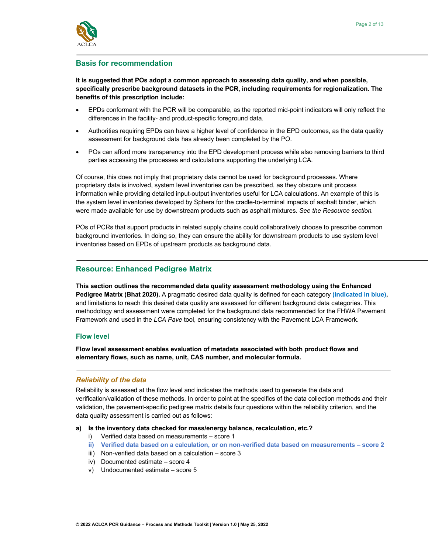

# **Basis for recommendation**

**It is suggested that POs adopt a common approach to assessing data quality, and when possible, specifically prescribe background datasets in the PCR, including requirements for regionalization. The benefits of this prescription include:**

- EPDs conformant with the PCR will be comparable, as the reported mid-point indicators will only reflect the differences in the facility- and product-specific foreground data.
- Authorities requiring EPDs can have a higher level of confidence in the EPD outcomes, as the data quality assessment for background data has already been completed by the PO.
- POs can afford more transparency into the EPD development process while also removing barriers to third parties accessing the processes and calculations supporting the underlying LCA.

Of course, this does not imply that proprietary data cannot be used for background processes. Where proprietary data is involved, system level inventories can be prescribed, as they obscure unit process information while providing detailed input-output inventories useful for LCA calculations. An example of this is the system level inventories developed by Sphera for the cradle-to-terminal impacts of asphalt binder, which were made available for use by downstream products such as asphalt mixtures. *See the Resource section.*

POs of PCRs that support products in related supply chains could collaboratively choose to prescribe common background inventories. In doing so, they can ensure the ability for downstream products to use system level inventories based on EPDs of upstream products as background data.

# **Resource: Enhanced Pedigree Matrix**

**This section outlines the recommended data quality assessment methodology using the Enhanced Pedigree Matrix (Bhat 2020).** A pragmatic desired data quality is defined for each category **(indicated in blue),**  and limitations to reach this desired data quality are assessed for different background data categories. This methodology and assessment were completed for the background data recommended for the FHWA Pavement Framework and used in the *LCA Pave* tool, ensuring consistency with the Pavement LCA Framework.

## **Flow level**

**Flow level assessment enables evaluation of metadata associated with both product flows and elementary flows, such as name, unit, CAS number, and molecular formula.**

## *Reliability of the data*

Reliability is assessed at the flow level and indicates the methods used to generate the data and verification/validation of these methods. In order to point at the specifics of the data collection methods and their validation, the pavement-specific pedigree matrix details four questions within the reliability criterion, and the data quality assessment is carried out as follows:

#### **a) Is the inventory data checked for mass/energy balance, recalculation, etc.?**

- i) Verified data based on measurements score 1
- **ii) Verified data based on a calculation, or on non-verified data based on measurements – score 2**
- iii) Non-verified data based on a calculation score 3
- iv) Documented estimate score 4
- v) Undocumented estimate score 5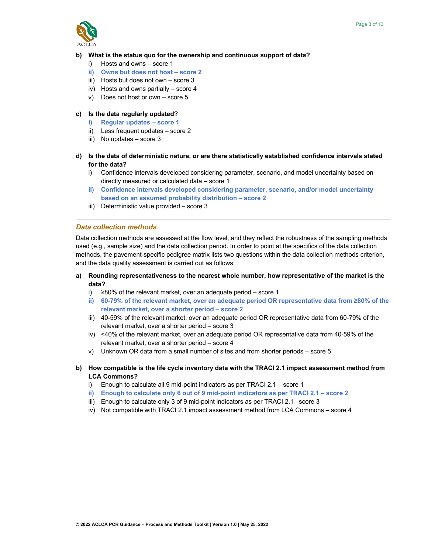

## **b) What is the status quo for the ownership and continuous support of data?**

- i) Hosts and owns score 1
- **ii) Owns but does not host – score 2**
- iii) Hosts but does not own score 3
- iv) Hosts and owns partially score 4
- v) Does not host or own score 5

## **c) Is the data regularly updated?**

- **i) Regular updates – score 1**
- ii) Less frequent updates score 2
- iii) No updates score 3
- **d) Is the data of deterministic nature, or are there statistically established confidence intervals stated for the data?**
	- i) Confidence intervals developed considering parameter, scenario, and model uncertainty based on directly measured or calculated data – score 1
	- **ii) Confidence intervals developed considering parameter, scenario, and/or model uncertainty based on an assumed probability distribution – score 2**
	- iii) Deterministic value provided score 3

## *Data collection methods*

Data collection methods are assessed at the flow level, and they reflect the robustness of the sampling methods used (e.g., sample size) and the data collection period. In order to point at the specifics of the data collection methods, the pavement-specific pedigree matrix lists two questions within the data collection methods criterion, and the data quality assessment is carried out as follows:

- **a) Rounding representativeness to the nearest whole number, how representative of the market is the data?**
	- i) ≥80% of the relevant market, over an adequate period score 1
	- **ii) 60-79% of the relevant market, over an adequate period OR representative data from ≥80% of the relevant market, over a shorter period – score 2**
	- iii) 40-59% of the relevant market, over an adequate period OR representative data from 60-79% of the relevant market, over a shorter period – score 3
	- iv) <40% of the relevant market, over an adequate period OR representative data from 40-59% of the relevant market, over a shorter period – score 4
	- v) Unknown OR data from a small number of sites and from shorter periods score 5
- **b) How compatible is the life cycle inventory data with the TRACI 2.1 impact assessment method from LCA Commons?**
	- i) Enough to calculate all 9 mid-point indicators as per TRACI 2.1 score 1
	- **ii) Enough to calculate only 6 out of 9 mid-point indicators as per TRACI 2.1 – score 2**
	- iii) Enough to calculate only 3 of 9 mid-point indicators as per TRACI 2.1– score 3
	- iv) Not compatible with TRACI 2.1 impact assessment method from LCA Commons score 4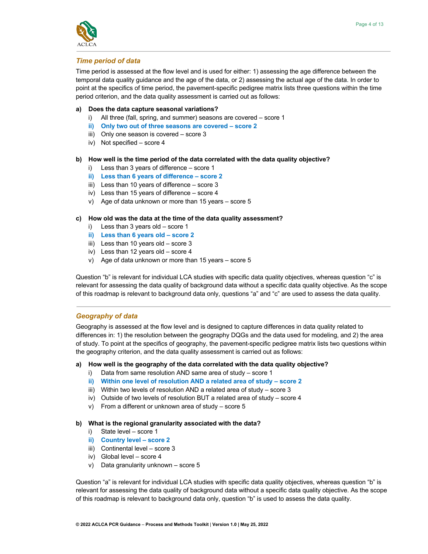

# *Time period of data*

Time period is assessed at the flow level and is used for either: 1) assessing the age difference between the temporal data quality guidance and the age of the data, or 2) assessing the actual age of the data. In order to point at the specifics of time period, the pavement-specific pedigree matrix lists three questions within the time period criterion, and the data quality assessment is carried out as follows:

- **a) Does the data capture seasonal variations?**
	- i) All three (fall, spring, and summer) seasons are covered score 1
	- **ii) Only two out of three seasons are covered – score 2**
	- iii) Only one season is covered score 3
	- iv) Not specified score 4

#### **b) How well is the time period of the data correlated with the data quality objective?**

- i) Less than 3 years of difference score 1
- **ii) Less than 6 years of difference – score 2**
- iii) Less than 10 years of difference score 3
- iv) Less than 15 years of difference score 4
- v) Age of data unknown or more than 15 years score 5

#### **c) How old was the data at the time of the data quality assessment?**

- i) Less than 3 years old score 1
- **ii) Less than 6 years old – score 2**
- iii) Less than 10 years old score 3
- iv) Less than 12 years old score 4
- v) Age of data unknown or more than 15 years score 5

Question "b" is relevant for individual LCA studies with specific data quality objectives, whereas question "c" is relevant for assessing the data quality of background data without a specific data quality objective. As the scope of this roadmap is relevant to background data only, questions "a" and "c" are used to assess the data quality.

## *Geography of data*

Geography is assessed at the flow level and is designed to capture differences in data quality related to differences in: 1) the resolution between the geography DQGs and the data used for modeling, and 2) the area of study. To point at the specifics of geography, the pavement-specific pedigree matrix lists two questions within the geography criterion, and the data quality assessment is carried out as follows:

#### **a) How well is the geography of the data correlated with the data quality objective?**

- i) Data from same resolution AND same area of study score 1
- **ii) Within one level of resolution AND a related area of study – score 2**
- iii) Within two levels of resolution AND a related area of study score 3
- iv) Outside of two levels of resolution BUT a related area of study score 4
- v) From a different or unknown area of study score 5

#### **b) What is the regional granularity associated with the data?**

- i) State level score 1
- **ii) Country level – score 2**
- iii) Continental level score 3
- iv) Global level score 4
- v) Data granularity unknown score 5

Question "a" is relevant for individual LCA studies with specific data quality objectives, whereas question "b" is relevant for assessing the data quality of background data without a specific data quality objective. As the scope of this roadmap is relevant to background data only, question "b" is used to assess the data quality.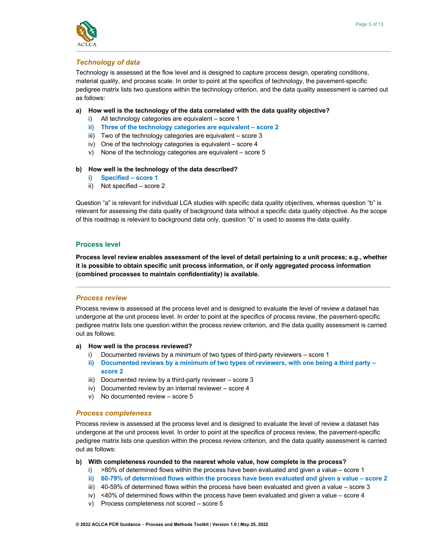

# *Technology of data*

Technology is assessed at the flow level and is designed to capture process design, operating conditions, material quality, and process scale. In order to point at the specifics of technology, the pavement-specific pedigree matrix lists two questions within the technology criterion, and the data quality assessment is carried out as follows:

- **a) How well is the technology of the data correlated with the data quality objective?**
	- i) All technology categories are equivalent score 1
	- **ii) Three of the technology categories are equivalent – score 2**
	- iii) Two of the technology categories are equivalent score 3
	- iv) One of the technology categories is equivalent score 4
	- v) None of the technology categories are equivalent score 5

#### **b) How well is the technology of the data described?**

- **i) Specified – score 1**
- ii) Not specified score 2

Question "a" is relevant for individual LCA studies with specific data quality objectives, whereas question "b" is relevant for assessing the data quality of background data without a specific data quality objective. As the scope of this roadmap is relevant to background data only, question "b" is used to assess the data quality.

## **Process level**

**Process level review enables assessment of the level of detail pertaining to a unit process; e.g., whether it is possible to obtain specific unit process information, or if only aggregated process information (combined processes to maintain confidentiality) is available.** 

# *Process review*

Process review is assessed at the process level and is designed to evaluate the level of review a dataset has undergone at the unit process level. In order to point at the specifics of process review, the pavement-specific pedigree matrix lists one question within the process review criterion, and the data quality assessment is carried out as follows:

#### **a) How well is the process reviewed?**

- i) Documented reviews by a minimum of two types of third-party reviewers score 1
- **ii) Documented reviews by a minimum of two types of reviewers, with one being a third party – score 2**
- iii) Documented review by a third-party reviewer score 3
- iv) Documented review by an internal reviewer score 4
- v) No documented review score 5

#### *Process completeness*

Process review is assessed at the process level and is designed to evaluate the level of review a dataset has undergone at the unit process level. In order to point at the specifics of process review, the pavement-specific pedigree matrix lists one question within the process review criterion, and the data quality assessment is carried out as follows:

#### **b) With completeness rounded to the nearest whole value, how complete is the process?**

- i)  $>80\%$  of determined flows within the process have been evaluated and given a value score 1
- **ii) 60-79% of determined flows within the process have been evaluated and given a value – score 2**
- iii) 40-59% of determined flows within the process have been evaluated and given a value score 3
- iv)  $\leq$ 40% of determined flows within the process have been evaluated and given a value score 4
- v) Process completeness not scored score 5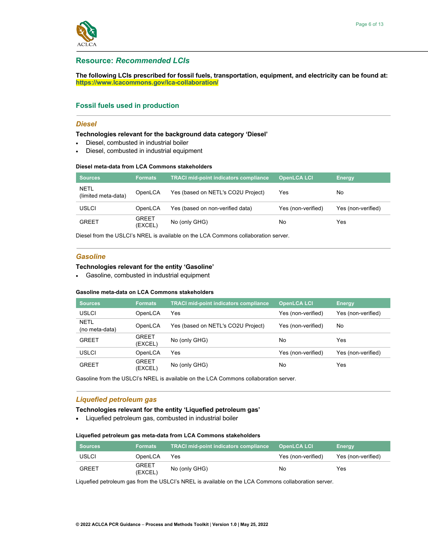

## **Resource:** *Recommended LCIs*

**The following LCIs prescribed for fossil fuels, transportation, equipment, and electricity can be found at: https://www.lcacommons.gov/lca-collaboration/**

## **Fossil fuels used in production**

#### *Diesel*

#### **Technologies relevant for the background data category 'Diesel'**

- Diesel, combusted in industrial boiler
- Diesel, combusted in industrial equipment

#### **Diesel meta-data from LCA Commons stakeholders**

| Sources                            | <b>Formats</b>          | <b>TRACI mid-point indicators compliance</b> | <b>OpenLCA LCI</b> | <b>Energy</b>      |
|------------------------------------|-------------------------|----------------------------------------------|--------------------|--------------------|
| <b>NETL</b><br>(limited meta-data) | OpenLCA                 | Yes (based on NETL's CO2U Project)           | Yes                | No                 |
| <b>USLCI</b>                       | OpenLCA                 | Yes (based on non-verified data)             | Yes (non-verified) | Yes (non-verified) |
| <b>GREET</b>                       | <b>GREET</b><br>(EXCEL) | No (only GHG)                                | No                 | Yes                |

Diesel from the USLCI's NREL is available on the LCA Commons collaboration server.

#### *Gasoline*

#### **Technologies relevant for the entity 'Gasoline'**

• Gasoline, combusted in industrial equipment

#### **Gasoline meta-data on LCA Commons stakeholders**

| <b>Sources</b>                | <b>Formats</b>          | <b>TRACI mid-point indicators compliance</b> | <b>OpenLCA LCI</b> | <b>Energy</b>      |
|-------------------------------|-------------------------|----------------------------------------------|--------------------|--------------------|
| <b>USLCI</b>                  | OpenLCA                 | Yes                                          | Yes (non-verified) | Yes (non-verified) |
| <b>NETL</b><br>(no meta-data) | OpenLCA                 | Yes (based on NETL's CO2U Project)           | Yes (non-verified) | No                 |
| <b>GREET</b>                  | <b>GREET</b><br>(EXCEL) | No (only GHG)                                | No                 | Yes                |
| <b>USLCI</b>                  | OpenLCA                 | Yes                                          | Yes (non-verified) | Yes (non-verified) |
| <b>GREET</b>                  | GREET<br>(EXCEL)        | No (only GHG)                                | No                 | Yes                |

Gasoline from the USLCI's NREL is available on the LCA Commons collaboration server.

# *Liquefied petroleum gas*

#### **Technologies relevant for the entity 'Liquefied petroleum gas'**

• Liquefied petroleum gas, combusted in industrial boiler

#### **Liquefied petroleum gas meta-data from LCA Commons stakeholders**

| <b>Sources</b> | <b>Formats</b>          | <b>TRACI mid-point indicators compliance</b> | <b>OpenLCA LCI</b> | <b>Energy</b>      |
|----------------|-------------------------|----------------------------------------------|--------------------|--------------------|
| USLCI          | OpenLCA                 | Yes                                          | Yes (non-verified) | Yes (non-verified) |
| <b>GREET</b>   | <b>GREET</b><br>(EXCEL) | No (only GHG)                                | No                 | Yes                |

Liquefied petroleum gas from the USLCI's NREL is available on the LCA Commons collaboration server.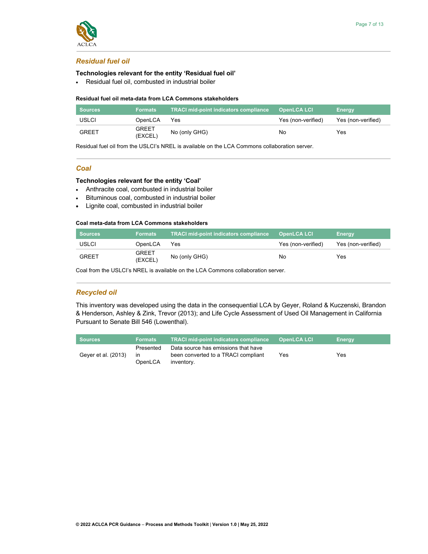

# *Residual fuel oil*

# **Technologies relevant for the entity 'Residual fuel oil'**

• Residual fuel oil, combusted in industrial boiler

## **Residual fuel oil meta-data from LCA Commons stakeholders**

| <b>Sources</b> | <b>Formats</b>          | <b>TRACI mid-point indicators compliance</b> | ′OpenLCA LCI.      | Energy             |
|----------------|-------------------------|----------------------------------------------|--------------------|--------------------|
| USLCI          | OpenLCA                 | Yes                                          | Yes (non-verified) | Yes (non-verified) |
| <b>GREET</b>   | <b>GREET</b><br>(EXCEL) | No (only GHG)                                | No.                | Yes                |

Residual fuel oil from the USLCI's NREL is available on the LCA Commons collaboration server.

# *Coal*

## **Technologies relevant for the entity 'Coal'**

- Anthracite coal, combusted in industrial boiler
- Bituminous coal, combusted in industrial boiler
- Lignite coal, combusted in industrial boiler

## **Coal meta-data from LCA Commons stakeholders**

| Sources | <b>Formats</b>          | <b>TRACI mid-point indicators compliance</b> | <b>OpenLCA LCI</b> | Energy             |
|---------|-------------------------|----------------------------------------------|--------------------|--------------------|
| USLCI   | OpenLCA                 | Yes                                          | Yes (non-verified) | Yes (non-verified) |
| GRFFT   | <b>GREET</b><br>(EXCEL) | No (only GHG)                                | No.                | Yes                |

Coal from the USLCI's NREL is available on the LCA Commons collaboration server.

# *Recycled oil*

This inventory was developed using the data in the consequential LCA by Geyer, Roland & Kuczenski, Brandon & Henderson, Ashley & Zink, Trevor (2013); and Life Cycle Assessment of Used Oil Management in California Pursuant to Senate Bill 546 (Lowenthal).

| <b>Sources</b>      | Formats                    | <b>TRACI mid-point indicators compliance</b>                                             | <b>OpenLCA LCI</b> | <b>Energy</b> |
|---------------------|----------------------------|------------------------------------------------------------------------------------------|--------------------|---------------|
| Geyer et al. (2013) | Presented<br>ın<br>OpenLCA | Data source has emissions that have<br>been converted to a TRACI compliant<br>inventory. | Yes                | Yes           |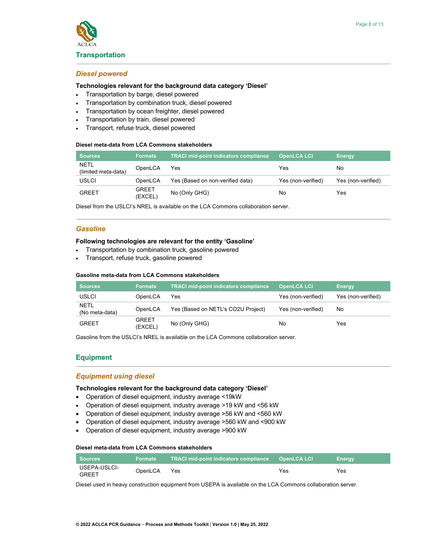

#### **Transportation**

#### *Diesel powered*

#### **Technologies relevant for the background data category 'Diesel'**

- Transportation by barge, diesel powered
- Transportation by combination truck, diesel powered
- Transportation by ocean freighter, diesel powered
- Transportation by train, diesel powered
- Transport, refuse truck, diesel powered

#### **Diesel meta-data from LCA Commons stakeholders**

| <b>Sources</b>                     | <b>Formats</b>   | <b>TRACI mid-point indicators compliance</b> | <b>OpenLCA LCI</b> | <b>Energy</b>      |
|------------------------------------|------------------|----------------------------------------------|--------------------|--------------------|
| <b>NETL</b><br>(limited meta-data) | OpenLCA          | Yes                                          | Yes                | No                 |
| <b>USLCI</b>                       | OpenLCA          | Yes (Based on non-verified data)             | Yes (non-verified) | Yes (non-verified) |
| <b>GREET</b>                       | GREET<br>(EXCEL) | No (Only GHG)                                | No                 | Yes                |

Diesel from the USLCI's NREL is available on the LCA Commons collaboration server.

#### *Gasoline*

#### **Following technologies are relevant for the entity 'Gasoline'**

- Transportation by combination truck, gasoline powered
- Transport, refuse truck, gasoline powered

#### **Gasoline meta-data from LCA Commons stakeholders**

| <b>Sources</b>                | <b>Formats</b>          | <b>TRACI mid-point indicators compliance</b> | <b>OpenLCA LCI</b> | <b>Energy</b>      |
|-------------------------------|-------------------------|----------------------------------------------|--------------------|--------------------|
| USLCI                         | OpenLCA                 | Yes                                          | Yes (non-verified) | Yes (non-verified) |
| <b>NETL</b><br>(No meta-data) | OpenLCA                 | Yes (Based on NETL's CO2U Project)           | Yes (non-verified) | No                 |
| <b>GREET</b>                  | <b>GREET</b><br>(EXCEL) | No (Only GHG)                                | No                 | Yes                |

Gasoline from the USLCI's NREL is available on the LCA Commons collaboration server.

## **Equipment**

#### *Equipment using diesel*

## **Technologies relevant for the background data category 'Diesel'**

- Operation of diesel equipment, industry average <19kW
- Operation of diesel equipment, industry average >19 kW and <56 kW
- Operation of diesel equipment, industry average >56 kW and <560 kW
- Operation of diesel equipment, industry average >560 kW and <900 kW
- Operation of diesel equipment, industry average >900 kW

#### **Diesel meta-data from LCA Commons stakeholders**

| <b>Sources</b>               | <b>Formats</b> |     |     | <b>Energy</b> |
|------------------------------|----------------|-----|-----|---------------|
| USEPA-USLCI-<br><b>GREET</b> | OpenLCA        | Yes | Yes | Yes           |

Diesel used in heavy construction equipment from USEPA is available on the LCA Commons collaboration server.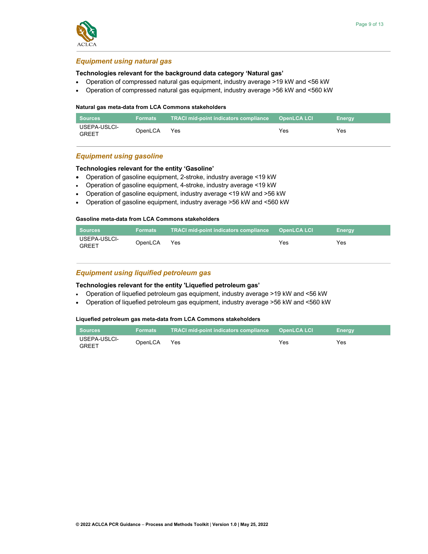

# *Equipment using natural gas*

## **Technologies relevant for the background data category 'Natural gas'**

- Operation of compressed natural gas equipment, industry average >19 kW and <56 kW
- Operation of compressed natural gas equipment, industry average >56 kW and <560 kW

#### **Natural gas meta-data from LCA Commons stakeholders**

| <b>Sources</b>               | Formats | <b>TRACI mid-point indicators compliance OpenLCA LCI</b> |     | <b>Energy</b> |
|------------------------------|---------|----------------------------------------------------------|-----|---------------|
| USEPA-USLCI-<br><b>GREET</b> | OpenLCA | Yes                                                      | Yes | Yes           |

# *Equipment using gasoline*

## **Technologies relevant for the entity 'Gasoline'**

- Operation of gasoline equipment, 2-stroke, industry average <19 kW
- Operation of gasoline equipment, 4-stroke, industry average <19 kW
- Operation of gasoline equipment, industry average <19 kW and >56 kW
- Operation of gasoline equipment, industry average >56 kW and <560 kW

## **Gasoline meta-data from LCA Commons stakeholders**

| <b>Sources</b>               | <b>Formats</b> | <b>TRACI mid-point indicators compliance</b> | <b>OpenLCA LCI</b> | Enerav |
|------------------------------|----------------|----------------------------------------------|--------------------|--------|
| USEPA-USLCI-<br><b>GREET</b> | OpenLCA        | Yes                                          | Yes                | Yes    |

# *Equipment using liquified petroleum gas*

## **Technologies relevant for the entity 'Liquefied petroleum gas'**

- Operation of liquefied petroleum gas equipment, industry average >19 kW and <56 kW
- Operation of liquefied petroleum gas equipment, industry average >56 kW and <560 kW

## **Liquefied petroleum gas meta-data from LCA Commons stakeholders**

| <b>Sources</b>               | <b>Formats</b> | . TRACI mid-point indicators compliance  OpenLCA LCI_ |     | <b>Energy</b> |
|------------------------------|----------------|-------------------------------------------------------|-----|---------------|
| USEPA-USLCI-<br><b>GREET</b> | OpenLCA        | Yes                                                   | Yes | Yes           |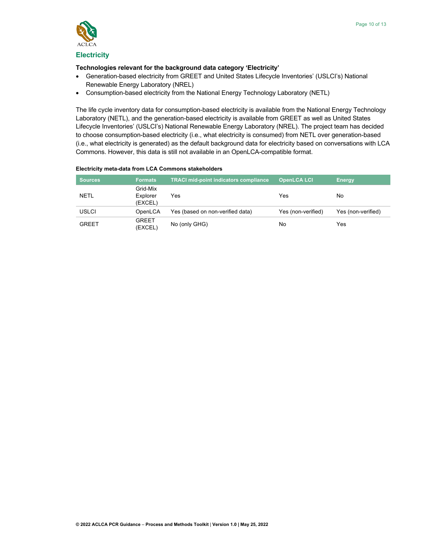

## **Electricity**

## **Technologies relevant for the background data category 'Electricity'**

- Generation-based electricity from GREET and United States Lifecycle Inventories' (USLCI's) National Renewable Energy Laboratory (NREL)
- Consumption-based electricity from the National Energy Technology Laboratory (NETL)

The life cycle inventory data for consumption-based electricity is available from the National Energy Technology Laboratory (NETL), and the generation-based electricity is available from GREET as well as United States Lifecycle Inventories' (USLCI's) National Renewable Energy Laboratory (NREL). The project team has decided to choose consumption-based electricity (i.e., what electricity is consumed) from NETL over generation-based (i.e., what electricity is generated) as the default background data for electricity based on conversations with LCA Commons. However, this data is still not available in an OpenLCA-compatible format.

#### **Electricity meta-data from LCA Commons stakeholders**

| <b>Sources</b> | <b>Formats</b>                  | <b>TRACI mid-point indicators compliance</b> | <b>OpenLCA LCI</b> | <b>Energy</b>      |
|----------------|---------------------------------|----------------------------------------------|--------------------|--------------------|
| <b>NETL</b>    | Grid-Mix<br>Explorer<br>(EXCEL) | Yes                                          | Yes                | No                 |
| <b>USLCI</b>   | OpenLCA                         | Yes (based on non-verified data)             | Yes (non-verified) | Yes (non-verified) |
| <b>GREET</b>   | <b>GREET</b><br>(EXCEL)         | No (only GHG)                                | No                 | Yes                |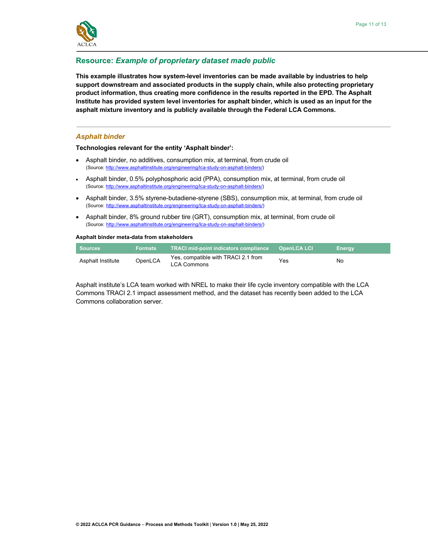

# **Resource:** *Example of proprietary dataset made public*

**This example illustrates how system-level inventories can be made available by industries to help support downstream and associated products in the supply chain, while also protecting proprietary product information, thus creating more confidence in the results reported in the EPD. The Asphalt Institute has provided system level inventories for asphalt binder, which is used as an input for the asphalt mixture inventory and is publicly available through the Federal LCA Commons.**

#### *Asphalt binder*

#### **Technologies relevant for the entity 'Asphalt binder':**

- Asphalt binder, no additives, consumption mix, at terminal, from crude oil (Source: http://www.asphaltinstitute.org/engineering/lca-study-on-asphalt-binders/)
- Asphalt binder, 0.5% polyphosphoric acid (PPA), consumption mix, at terminal, from crude oil (Source: http://www.asphaltinstitute.org/engineering/lca-study-on-asphalt-binders/)
- Asphalt binder, 3.5% styrene-butadiene-styrene (SBS), consumption mix, at terminal, from crude oil (Source: http://www.asphaltinstitute.org/engineering/lca-study-on-asphalt-binders/)
- Asphalt binder, 8% ground rubber tire (GRT), consumption mix, at terminal, from crude oil (Source: http://www.asphaltinstitute.org/engineering/lca-study-on-asphalt-binders/)

#### **Asphalt binder meta-data from stakeholders**

| <b>Sources</b>    | <b>Formats</b> | <b>TRACI mid-point indicators compliance</b>              | <b>OpenLCA LCI</b> | <b>Energy</b> |
|-------------------|----------------|-----------------------------------------------------------|--------------------|---------------|
| Asphalt Institute | OpenLCA        | Yes, compatible with TRACI 2.1 from<br><b>LCA Commons</b> | Yes                | No            |

Asphalt institute's LCA team worked with NREL to make their life cycle inventory compatible with the LCA Commons TRACI 2.1 impact assessment method, and the dataset has recently been added to the LCA Commons collaboration server.